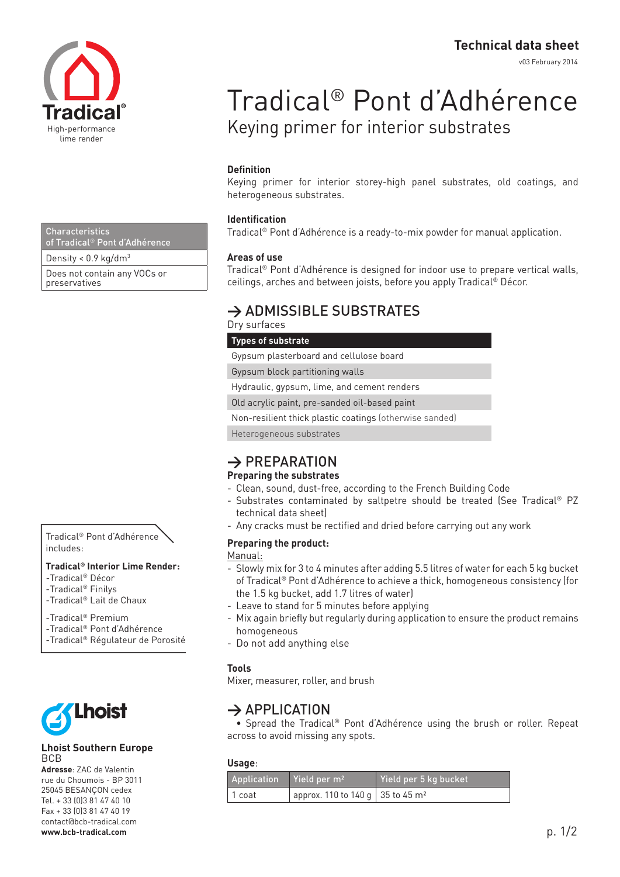

**Characteristics** of Tradical® Pont d'Adhérence

Density < 0.9 kg/dm3

Does not contain any VOCs or preservatives

Tradical® Pont d'Adhérence includes:

### **Tradical® Interior Lime Render:**

- -Tradical® Décor
- -Tradical® Finilys -Tradical® Lait de Chaux

-Tradical® Premium -Tradical® Pont d'Adhérence -Tradical® Régulateur de Porosité



#### **Lhoist Southern Europe BCB**

**Adresse**: ZAC de Valentin rue du Choumois - BP 3011 25045 BESANçON cedex Tel. + 33 (0)3 81 47 40 10 Fax + 33 (0)3 81 47 40 19 contact@bcb-tradical.com **www.bcb-tradical.com**

v03 February 2014

# Tradical® Pont d'Adhérence Keying primer for interior substrates

### **Definition**

Keying primer for interior storey-high panel substrates, old coatings, and heterogeneous substrates.

### **Identification**

Tradical® Pont d'Adhérence is a ready-to-mix powder for manual application.

### **Areas of use**

Tradical® Pont d'Adhérence is designed for indoor use to prepare vertical walls, ceilings, arches and between joists, before you apply Tradical® Décor.

## **→** ADMISSIBLE SUBSTRATES

Dry surfaces

### **Types of substrate**

Gypsum plasterboard and cellulose board

Gypsum block partitioning walls

Hydraulic, gypsum, lime, and cement renders

Old acrylic paint, pre-sanded oil-based paint

Non-resilient thick plastic coatings (otherwise sanded)

Heterogeneous substrates

## **→** PREPARATION

### **Preparing the substrates**

- Clean, sound, dust-free, according to the French Building Code
- Substrates contaminated by saltpetre should be treated (See Tradical® PZ technical data sheet)
- Any cracks must be rectified and dried before carrying out any work

### **Preparing the product:**

Manual:

- Slowly mix for 3 to 4 minutes after adding 5.5 litres of water for each 5 kg bucket of Tradical® Pont d'Adhérence to achieve a thick, homogeneous consistency (for the 1.5 kg bucket, add 1.7 litres of water)
- Leave to stand for 5 minutes before applying
- Mix again briefly but regularly during application to ensure the product remains homogeneous
- Do not add anything else

### **Tools**

Mixer, measurer, roller, and brush

### **→** APPLICATION

 • Spread the Tradical® Pont d'Adhérence using the brush or roller. Repeat across to avoid missing any spots.

### **Usage**:

| .                                    |                                                |                       |
|--------------------------------------|------------------------------------------------|-----------------------|
| Application Yield per m <sup>2</sup> |                                                | Vield per 5 kg bucket |
| 1 coat                               | approx. 110 to 140 g   35 to 45 m <sup>2</sup> |                       |